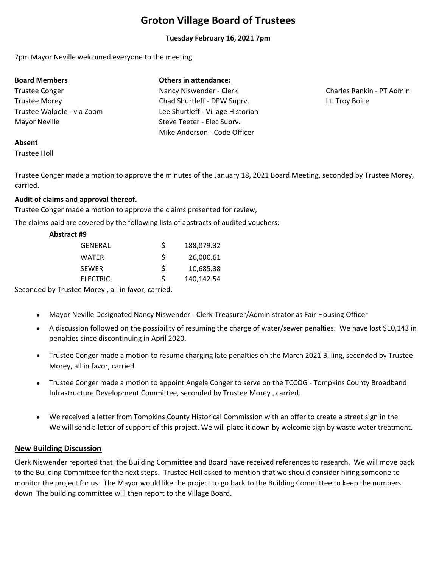# **Groton Village Board of Trustees**

# **Tuesday February 16, 2021 7pm**

7pm Mayor Neville welcomed everyone to the meeting.

Trustee Conger Nancy Niswender - Clerk

# **Others** in attendance:

Trustee Walpole ‐ via Zoom Lee Shurtleff ‐ Village Historian Mayor Neville Steve Teeter - Elec Suprv. Mike Anderson ‐ Code Officer Trustee Morey Chad Shurtleff ‐ DPW Suprv.

Charles Rankin ‐ PT Admin Lt. Troy Boice

# **Absent**

Trustee Holl

Trustee Conger made a motion to approve the minutes of the January 18, 2021 Board Meeting, seconded by Trustee Morey, carried.

# **Audit of claims and approval thereof.**

Trustee Conger made a motion to approve the claims presented for review,

The claims paid are covered by the following lists of abstracts of audited vouchers:

## **Abstract #9**

| <b>GENERAL</b>  | Ś | 188,079.32 |
|-----------------|---|------------|
| <b>WATER</b>    | Ś | 26,000.61  |
| <b>SEWER</b>    | Ś | 10,685.38  |
| <b>ELECTRIC</b> | Ś | 140,142.54 |

Seconded by Trustee Morey , all in favor, carried.

- $\bullet$ Mayor Neville Designated Nancy Niswender ‐ Clerk‐Treasurer/Administrator as Fair Housing Officer
- $\bullet$ A discussion followed on the possibility of resuming the charge of water/sewer penalties. We have lost \$10,143 in penalties since discontinuing in April 2020.
- $\bullet$ Trustee Conger made a motion to resume charging late penalties on the March 2021 Billing, seconded by Trustee Morey, all in favor, carried.
- $\bullet$ Trustee Conger made a motion to appoint Angela Conger to serve on the TCCOG ‐ Tompkins County Broadband Infrastructure Development Committee, seconded by Trustee Morey , carried.
- $\bullet$ We received a letter from Tompkins County Historical Commission with an offer to create a street sign in the We will send a letter of support of this project. We will place it down by welcome sign by waste water treatment.

# **New Building Discussion**

Clerk Niswender reported that the Building Committee and Board have received references to research. We will move back to the Building Committee for the next steps. Trustee Holl asked to mention that we should consider hiring someone to monitor the project for us. The Mayor would like the project to go back to the Building Committee to keep the numbers down The building committee will then report to the Village Board.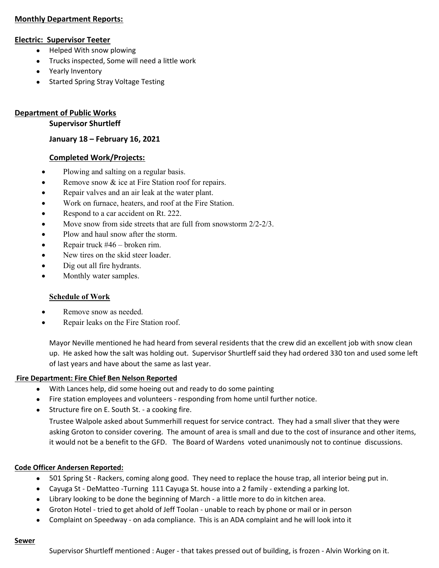## **Monthly Department Reports:**

## **Electric: Supervisor Teeter**

- Helped With snow plowing
- Trucks inspected, Some will need a little work
- Yearly Inventory
- Started Spring Stray Voltage Testing

## **Department of Public Works**

#### **Supervisor Shurtleff**

**January 18 – February 16, 2021**

## **Completed Work/Projects:**

- Plowing and salting on a regular basis.
- Remove snow & ice at Fire Station roof for repairs.
- Repair valves and an air leak at the water plant.
- Work on furnace, heaters, and roof at the Fire Station.
- Respond to a car accident on Rt. 222.
- Move snow from side streets that are full from snowstorm  $2/2-2/3$ .
- Plow and haul snow after the storm.
- Repair truck #46 broken rim.
- New tires on the skid steer loader.
- Dig out all fire hydrants.
- Monthly water samples.

#### **Schedule of Work**

- Remove snow as needed.
- Repair leaks on the Fire Station roof.

Mayor Neville mentioned he had heard from several residents that the crew did an excellent job with snow clean up. He asked how the salt was holding out. Supervisor Shurtleff said they had ordered 330 ton and used some left of last years and have about the same as last year.

#### **Fire Department: Fire Chief Ben Nelson Reported**

- With Lances help, did some hoeing out and ready to do some painting
- Fire station employees and volunteers ‐ responding from home until further notice.
- Structure fire on E. South St. a cooking fire.

Trustee Walpole asked about Summerhill request for service contract. They had a small sliver that they were asking Groton to consider covering. The amount of area is small and due to the cost of insurance and other items, it would not be a benefit to the GFD. The Board of Wardens voted unanimously not to continue discussions.

#### **Code Officer Andersen Reported:**

- 501 Spring St ‐ Rackers, coming along good. They need to replace the house trap, all interior being put in.
- Cayuga St ‐ DeMatteo ‐Turning 111 Cayuga St. house into a 2 family ‐ extending a parking lot.
- Library looking to be done the beginning of March ‐ a little more to do in kitchen area.
- Groton Hotel ‐ tried to get ahold of Jeff Toolan ‐ unable to reach by phone or mail or in person
- Complaint on Speedway on ada compliance. This is an ADA complaint and he will look into it

#### **Sewer**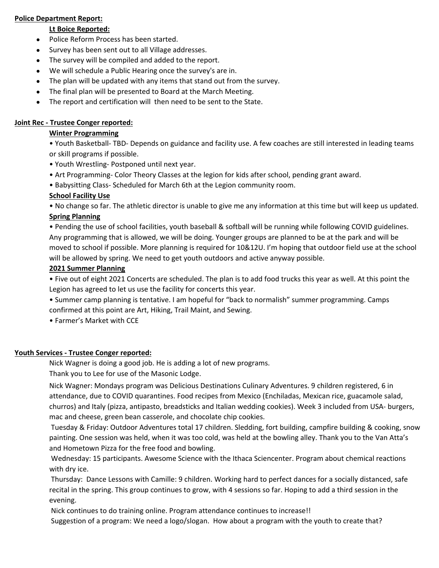### **Police Department Report:**

# **Lt Boice Reported:**

- Police Reform Process has been started.
- Survey has been sent out to all Village addresses.
- The survey will be compiled and added to the report.
- We will schedule a Public Hearing once the survey's are in.
- The plan will be updated with any items that stand out from the survey.
- The final plan will be presented to Board at the March Meeting.
- The report and certification will then need to be sent to the State.

## **Joint Rec ‐ Trustee Conger reported:**

## **Winter Programming**

• Youth Basketball‐ TBD‐ Depends on guidance and facility use. A few coaches are still interested in leading teams or skill programs if possible.

- Youth Wrestling‐ Postponed until next year.
- Art Programming‐ Color Theory Classes at the legion for kids after school, pending grant award.
- Babysitting Class‐ Scheduled for March 6th at the Legion community room.

## **School Facility Use**

• No change so far. The athletic director is unable to give me any information at this time but will keep us updated. **Spring Planning**

• Pending the use of school facilities, youth baseball & softball will be running while following COVID guidelines. Any programming that is allowed, we will be doing. Younger groups are planned to be at the park and will be moved to school if possible. More planning is required for 10&12U. I'm hoping that outdoor field use at the school will be allowed by spring. We need to get youth outdoors and active anyway possible.

## **2021 Summer Planning**

• Five out of eight 2021 Concerts are scheduled. The plan is to add food trucks this year as well. At this point the Legion has agreed to let us use the facility for concerts this year.

- Summer camp planning is tentative. I am hopeful for "back to normalish" summer programming. Camps confirmed at this point are Art, Hiking, Trail Maint, and Sewing.
- Farmer's Market with CCE

# **Youth Services ‐ Trustee Conger reported:**

Nick Wagner is doing a good job. He is adding a lot of new programs.

Thank you to Lee for use of the Masonic Lodge.

Nick Wagner: Mondays program was Delicious Destinations Culinary Adventures. 9 children registered, 6 in attendance, due to COVID quarantines. Food recipes from Mexico (Enchiladas, Mexican rice, guacamole salad, churros) and Italy (pizza, antipasto, breadsticks and Italian wedding cookies). Week 3 included from USA‐ burgers, mac and cheese, green bean casserole, and chocolate chip cookies.

Tuesday & Friday: Outdoor Adventures total 17 children. Sledding, fort building, campfire building & cooking, snow painting. One session was held, when it was too cold, was held at the bowling alley. Thank you to the Van Atta's and Hometown Pizza for the free food and bowling.

Wednesday: 15 participants. Awesome Science with the Ithaca Sciencenter. Program about chemical reactions with dry ice.

Thursday: Dance Lessons with Camille: 9 children. Working hard to perfect dances for a socially distanced, safe recital in the spring. This group continues to grow, with 4 sessions so far. Hoping to add a third session in the evening.

Nick continues to do training online. Program attendance continues to increase!!

Suggestion of a program: We need a logo/slogan. How about a program with the youth to create that?